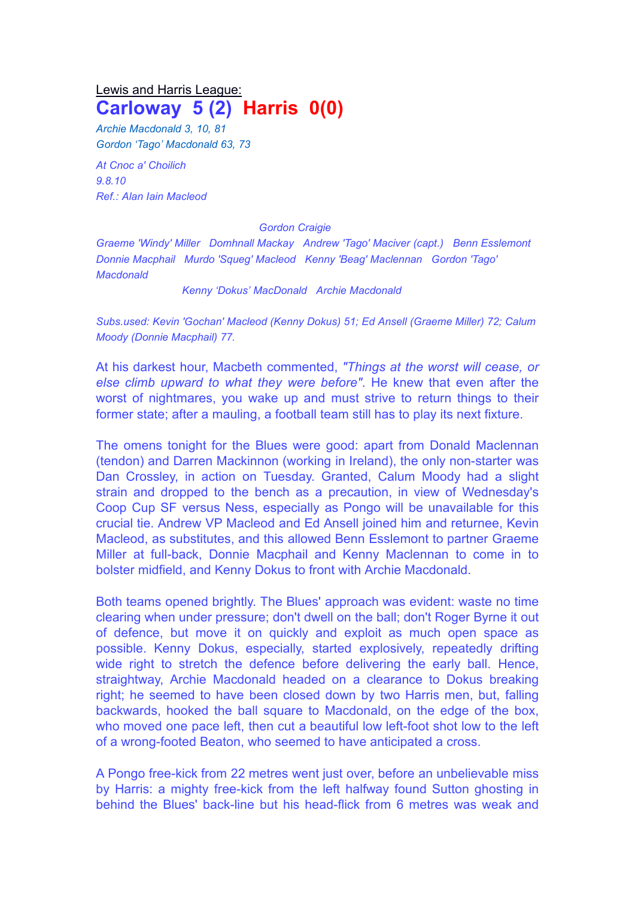## Lewis and Harris League: **Carloway 5 (2) Harris 0(0)**

*Archie Macdonald 3, 10, 81 Gordon 'Tago' Macdonald 63, 73*

*At Cnoc a' Choilich 9.8.10 Ref.: Alan Iain Macleod*

## *Gordon Craigie*

*Graeme 'Windy' Miller Domhnall Mackay Andrew 'Tago' Maciver (capt.) Benn Esslemont Donnie Macphail Murdo 'Squeg' Macleod Kenny 'Beag' Maclennan Gordon 'Tago' Macdonald*

*Kenny 'Dokus' MacDonald Archie Macdonald*

*Subs.used: Kevin 'Gochan' Macleod (Kenny Dokus) 51; Ed Ansell (Graeme Miller) 72; Calum Moody (Donnie Macphail) 77.*

At his darkest hour, Macbeth commented, *"Things at the worst will cease, or else climb upward to what they were before"*. He knew that even after the worst of nightmares, you wake up and must strive to return things to their former state; after a mauling, a football team still has to play its next fixture.

The omens tonight for the Blues were good: apart from Donald Maclennan (tendon) and Darren Mackinnon (working in Ireland), the only non-starter was Dan Crossley, in action on Tuesday. Granted, Calum Moody had a slight strain and dropped to the bench as a precaution, in view of Wednesday's Coop Cup SF versus Ness, especially as Pongo will be unavailable for this crucial tie. Andrew VP Macleod and Ed Ansell joined him and returnee, Kevin Macleod, as substitutes, and this allowed Benn Esslemont to partner Graeme Miller at full-back, Donnie Macphail and Kenny Maclennan to come in to bolster midfield, and Kenny Dokus to front with Archie Macdonald.

Both teams opened brightly. The Blues' approach was evident: waste no time clearing when under pressure; don't dwell on the ball; don't Roger Byrne it out of defence, but move it on quickly and exploit as much open space as possible. Kenny Dokus, especially, started explosively, repeatedly drifting wide right to stretch the defence before delivering the early ball. Hence, straightway, Archie Macdonald headed on a clearance to Dokus breaking right; he seemed to have been closed down by two Harris men, but, falling backwards, hooked the ball square to Macdonald, on the edge of the box, who moved one pace left, then cut a beautiful low left-foot shot low to the left of a wrong-footed Beaton, who seemed to have anticipated a cross.

A Pongo free-kick from 22 metres went just over, before an unbelievable miss by Harris: a mighty free-kick from the left halfway found Sutton ghosting in behind the Blues' back-line but his head-flick from 6 metres was weak and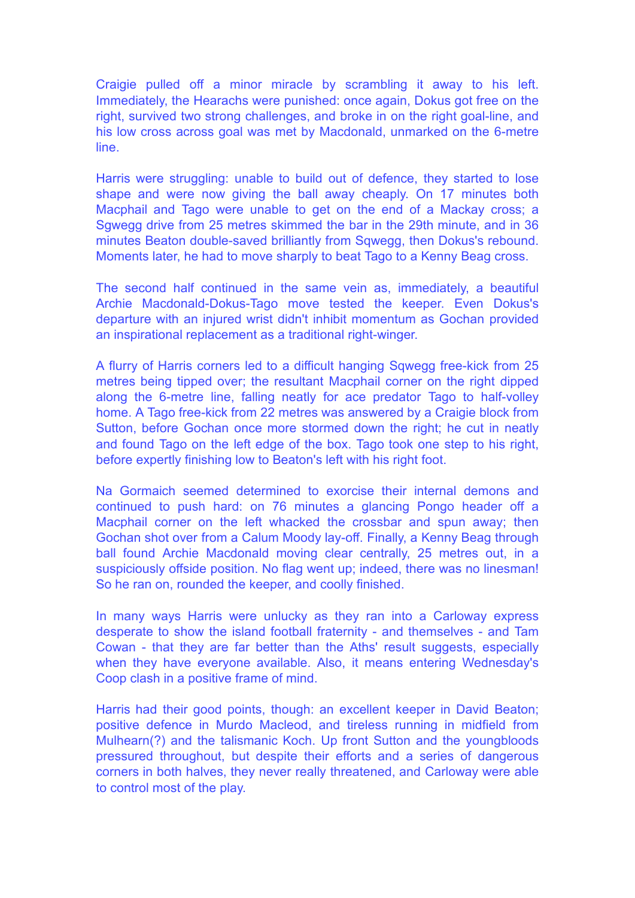Craigie pulled off a minor miracle by scrambling it away to his left. Immediately, the Hearachs were punished: once again, Dokus got free on the right, survived two strong challenges, and broke in on the right goal-line, and his low cross across goal was met by Macdonald, unmarked on the 6-metre line.

Harris were struggling: unable to build out of defence, they started to lose shape and were now giving the ball away cheaply. On 17 minutes both Macphail and Tago were unable to get on the end of a Mackay cross; a Sgwegg drive from 25 metres skimmed the bar in the 29th minute, and in 36 minutes Beaton double-saved brilliantly from Sqwegg, then Dokus's rebound. Moments later, he had to move sharply to beat Tago to a Kenny Beag cross.

The second half continued in the same vein as, immediately, a beautiful Archie Macdonald-Dokus-Tago move tested the keeper. Even Dokus's departure with an injured wrist didn't inhibit momentum as Gochan provided an inspirational replacement as a traditional right-winger.

A flurry of Harris corners led to a difficult hanging Sqwegg free-kick from 25 metres being tipped over; the resultant Macphail corner on the right dipped along the 6-metre line, falling neatly for ace predator Tago to half-volley home. A Tago free-kick from 22 metres was answered by a Craigie block from Sutton, before Gochan once more stormed down the right; he cut in neatly and found Tago on the left edge of the box. Tago took one step to his right, before expertly finishing low to Beaton's left with his right foot.

Na Gormaich seemed determined to exorcise their internal demons and continued to push hard: on 76 minutes a glancing Pongo header off a Macphail corner on the left whacked the crossbar and spun away; then Gochan shot over from a Calum Moody lay-off. Finally, a Kenny Beag through ball found Archie Macdonald moving clear centrally, 25 metres out, in a suspiciously offside position. No flag went up; indeed, there was no linesman! So he ran on, rounded the keeper, and coolly finished.

In many ways Harris were unlucky as they ran into a Carloway express desperate to show the island football fraternity - and themselves - and Tam Cowan - that they are far better than the Aths' result suggests, especially when they have everyone available. Also, it means entering Wednesday's Coop clash in a positive frame of mind.

Harris had their good points, though: an excellent keeper in David Beaton; positive defence in Murdo Macleod, and tireless running in midfield from Mulhearn(?) and the talismanic Koch. Up front Sutton and the youngbloods pressured throughout, but despite their efforts and a series of dangerous corners in both halves, they never really threatened, and Carloway were able to control most of the play.